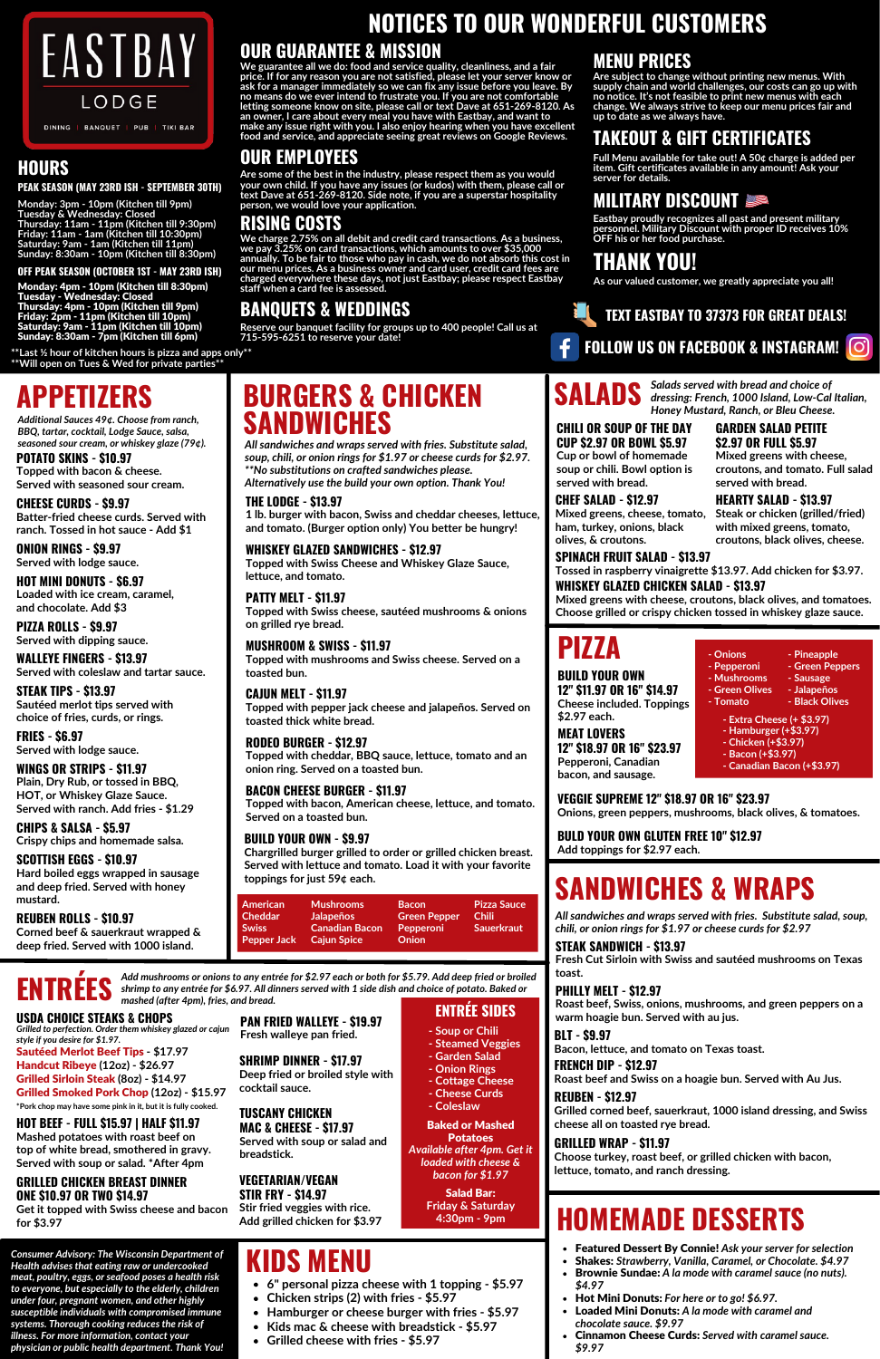**Monday: 3pm - 10pm (Kitchen till 9pm) Tuesday & Wednesday: Closed Thursday: 11am - 11pm (Kitchen till 9:30pm) Friday: 11am - 1am (Kitchen till 10:30pm) Saturday: 9am - 1am (Kitchen till 11pm) Sunday: 8:30am - 10pm (Kitchen till 8:30pm)**



### **HOURS**

# **APPETIZERS**

**POTATO SKINS - \$10.97 Topped with bacon & cheese. Served with seasoned sour cream.**

**PIZZA ROLLS - \$9.97 Served with dipping sauce.**

**ONION RINGS - \$9.97 Served with lodge sauce.**

**CHEESE CURDS - \$9.97 Batter-fried cheese curds. Served with ranch. Tossed in hot sauce - Add \$1**

**WINGS OR STRIPS - \$11.97**

**Plain, Dry Rub, or tossed in BBQ, HOT, or Whiskey Glaze Sauce. Served with ranch. Add fries - \$1.29**

**WALLEYE FINGERS - \$13.97 Served with coleslaw and tartar sauce.**

**HOT MINI DONUTS - \$6.97 Loaded with ice cream, caramel, and chocolate. Add \$3**

**CHIPS & SALSA - \$5.97 Crispy chips and homemade salsa.**

**FRIES - \$6.97 Served with lodge sauce.**

**SCOTTISH EGGS - \$10.97**

**Hard boiled eggs wrapped in sausage and deep fried. Served with honey mustard.**

*Additional Sauces 49¢. Choose from ranch, BBQ, tartar, cocktail, Lodge Sauce, salsa, seasoned sour cream, or whiskey glaze (79¢).*

## **BURGERS & CHICKEN SANDWICHES**

*All sandwiches and wraps served with fries. Substitute salad, soup, chili, or onion rings for \$1.97 or cheese curds for \$2.97. \*\*No substitutions on crafted sandwiches please. Alternatively use the build your own option. Thank You!*

**THE LODGE - \$13.97 1 lb. burger with bacon, Swiss and cheddar cheeses, lettuce, and tomato. (Burger option only) You better be hungry!**

**WHISKEY GLAZED SANDWICHES - \$12.97 Topped with Swiss Cheese and Whiskey Glaze Sauce, lettuce, and tomato.**

**PATTY MELT - \$11.97 Topped with Swiss cheese, sautéed mushrooms & onions on grilled rye bread.**

#### **RODEO BURGER - \$12.97 Topped with cheddar, BBQ sauce, lettuce, tomato and an onion ring. Served on a toasted bun.**

**MUSHROOM & SWISS - \$11.97 Topped with mushrooms and Swiss cheese. Served on a toasted bun.**

**BACON CHEESE BURGER - \$11.97 Topped with bacon, American cheese, lettuce, and tomato. Served on a toasted bun.**

#### **BUILD YOUR OWN - \$9.97**

**Chargrilled burger grilled to order or grilled chicken breast. Served with lettuce and tomato. Load it with your favorite toppings for just 59¢ each.**

Add mushrooms or onions to any entrée for \$2.97 each or both for \$5.79. Add deep fried or broiled shrimp to any entrée for \$6.97. All dinners served with 1 side dish and choice of potato. Baked or

### **PIZZA**

**BUILD YOUR OWN 12" \$11.97 OR 16" \$14.97 Cheese included. Toppings \$2.97 each.**

**MEAT LOVERS 12" \$18.97 OR 16" \$23.97 Pepperoni, Canadian bacon, and sausage.**

**VEGGIE SUPREME 12" \$18.97 OR 16" \$23.97 Onions, green peppers, mushrooms, black olives, & tomatoes.**

- **Chicken strips (2) with fries - \$5.97**  $\bullet$
- **Hamburger or cheese burger with fries - \$5.97**  $\bullet$ 
	- **Kids mac & cheese with breadstick - \$5.97**
- **Grilled cheese with fries - \$5.97**  $\bullet$

**BULD YOUR OWN GLUTEN FREE 10" \$12.97 Add toppings for \$2.97 each.**

- **- Onions - Pepperoni - Mushrooms - Green Olives - Pineapple - Green Peppers - Sausage - Jalapeños**
- **- Tomato - Black Olives**
	-

**- Extra Cheese (+ \$3.97) - Hamburger (+\$3.97) - Chicken (+\$3.97) - Bacon (+\$3.97)**

**- Canadian Bacon (+\$3.97)**



*mashed (after 4pm), fries, and bread.*

#### **USDA CHOICE STEAKS & CHOPS**

*Grilled to perfection. Order them whiskey glazed or cajun style if you desire for \$1.97.*

#### **GRILLED CHICKEN BREAST DINNER ONE \$10.97 OR TWO \$14.97**

**Get it topped with Swiss cheese and bacon for \$3.97**

**SHRIMP DINNER - \$17.97 Deep fried or broiled style with cocktail sauce.**

### **HOT BEEF - FULL \$15.97 | HALF \$11.97**

**Mashed potatoes with roast beef on top of white bread, smothered in gravy. Served with soup or salad. \*After 4pm**

#### **VEGETARIAN/VEGAN STIR FRY - \$14.97 Stir fried veggies with rice. Add grilled chicken for \$3.97**

**PAN FRIED WALLEYE - \$19.97 Fresh walleye pan fried.**

**ENTRÉE SIDES**

- **- Soup or Chili**
- **- Steamed Veggies**
- **- Garden Salad - Onion Rings**
- **- Cottage Cheese**
- **- Cheese Curds**
- **- Coleslaw**

Baked or Mashed Potatoes

*Available after 4pm. Get it loaded with cheese & bacon for \$1.97*

> Salad Bar: **Friday & Saturday 4:30pm - 9pm**



*Salads served with bread and choice of dressing: French, 1000 Island, Low-Cal Italian, Honey Mustard, Ranch, or Bleu Cheese.*

**GARDEN SALAD PETITE**

**\$2.97 OR FULL \$5.97 Mixed greens with cheese, croutons, and tomato. Full salad served with bread.**

Sautéed Merlot Beef Tips **- \$17.97** Handcut Ribeye **(12oz) - \$26.97** Grilled Sirloin Steak **(8oz) - \$14.97** Grilled Smoked Pork Chop **(12oz) - \$15.97 \*Pork chop may have some pink in it, but it is fully cooked.**

#### **CHILI OR SOUP OF THE DAY CUP \$2.97 OR BOWL \$5.97 Cup or bowl of homemade soup or chili. Bowl option is served with bread.**

#### **HEARTY SALAD - \$13.97 Steak or chicken (grilled/fried) CHEF SALAD - \$12.97 Mixed greens, cheese, tomato,**

# **HOMEMADE DESSERTS**

- Featured Dessert By Connie! *Ask your server for selection*
- Shakes: *Strawberry, Vanilla, Caramel, or Chocolate. \$4.97*
- Brownie Sundae: *A la mode with caramel sauce (no nuts). \$4.97*
- Hot Mini Donuts: *For here or to go! \$6.97.*
- Loaded Mini Donuts: *A la mode with caramel and chocolate sauce. \$9.97*
- Cinnamon Cheese Curds: *Served with caramel sauce. \$9.97*

## **KIDS MENU**

 $\bullet$ 

**6" personal pizza cheese with 1 topping - \$5.97**

**CAJUN MELT - \$11.97 Topped with pepper jack cheese and jalapeños. Served on toasted thick white bread.**

### **TUSCANY CHICKEN MAC & CHEESE - \$17.97**

**Served with soup or salad and breadstick.**

#### **PEAK SEASON (MAY 23RD ISH - SEPTEMBER 30TH)**

Monday: 4pm - 10pm (Kitchen till 8:30pm) Tuesday - Wednesday: Closed Thursday: 4pm - 10pm (Kitchen till 9pm) Friday: 2pm - 11pm (Kitchen till 10pm) Saturday: 9am - 11pm (Kitchen till 10pm) Sunday: 8:30am - 7pm (Kitchen till 6pm)

#### **OFF PEAK SEASON (OCTOBER 1ST - MAY 23RD ISH)**

**STEAK TIPS - \$13.97 Sautéed merlot tips served with choice of fries, curds, or rings.**

### **FOLLOW US ON FACEBOOK & INSTAGRAM!**

**TEXT EASTBAY TO 37373 FOR GREAT DEALS!**

### **MILITARY DISCOUNT**

**Eastbay proudly recognizes all past and present military personnel. Military Discount with proper ID receives 10% OFF his or her food purchase.**

### **TAKEOUT & GIFT CERTIFICATES**

**Full Menu available for take out! A 50¢ charge is added per item. Gift certificates available in any amount! Ask your server for details.**

# **NOTICES TO OUR WONDERFUL CUSTOMERS**

### **OUR GUARANTEE & MISSION**

**We guarantee all we do: food and service quality, cleanliness, and a fair price. If for any reason you are not satisfied, please let your server know or ask for a manager immediately so we can fix any issue before you leave. By no means do we ever intend to frustrate you. If you are not comfortable letting someone know on site, please call or text Dave at 651-269-8120. As an owner, I care about every meal you have with Eastbay, and want to make any issue right with you. I also enjoy hearing when you have excellent food and service, and appreciate seeing great reviews on Google Reviews.**

### **OUR EMPLOYEES**

**with mixed greens, tomato, croutons, black olives, cheese. ham, turkey, onions, black olives, & croutons. SPINACH FRUIT SALAD - \$13.97**

**Are some of the best in the industry, please respect them as you would your own child. If you have any issues (or kudos) with them, please call or text Dave at 651-269-8120. Side note, if you are a superstar hospitality person, we would love your application.**

**We charge 2.75% on all debit and credit card transactions. As a business, we pay 3.25% on card transactions, which amounts to over \$35,000 annually. To be fair to those who pay in cash, we do not absorb this cost in our menu prices. As a business owner and card user, credit card fees are charged everywhere these days, not just Eastbay; please respect Eastbay staff when a card fee is assessed.**

### **RISING COSTS**

### **MENU PRICES**

**Are subject to change without printing new menus. With supply chain and world challenges, our costs can go up with no notice. It's not feasible to print new menus with each change. We always strive to keep our menu prices fair and up to date as we always have.**

## **THANK YOU!**

**As our valued customer, we greatly appreciate you all!**

### **BANQUETS & WEDDINGS**

**Reserve our banquet facility for groups up to 400 people! Call us at 715-595-6251 to reserve your date!**

> **Mixed greens with cheese, croutons, black olives, and tomatoes. Choose grilled or crispy chicken tossed in whiskey glaze sauce.**

**REUBEN ROLLS - \$10.97 Corned beef & sauerkraut wrapped & deep fried. Served with 1000 island.**

# **SANDWICHES & WRAPS**

**STEAK SANDWICH - \$13.97 Fresh Cut Sirloin with Swiss and sautéed mushrooms on Texas toast.**

*All sandwiches and wraps served with fries. Substitute salad, soup, chili, or onion rings for \$1.97 or cheese curds for \$2.97*

### **FRENCH DIP - \$12.97**

**Roast beef and Swiss on a hoagie bun. Served with Au Jus.**

**PHILLY MELT - \$12.97 Roast beef, Swiss, onions, mushrooms, and green peppers on a warm hoagie bun. Served with au jus.**

### **REUBEN - \$12.97**

**Grilled corned beef, sauerkraut, 1000 island dressing, and Swiss cheese all on toasted rye bread.**

**WHISKEY GLAZED CHICKEN SALAD - \$13.97 Tossed in raspberry vinaigrette \$13.97. Add chicken for \$3.97.**

### **BLT - \$9.97**

**Bacon, lettuce, and tomato on Texas toast.**

### **GRILLED WRAP - \$11.97**

**Choose turkey, roast beef, or grilled chicken with bacon, lettuce, tomato, and ranch dressing.**

*Consumer Advisory: The Wisconsin Department of Health advises that eating raw or undercooked meat, poultry, eggs, or seafood poses a health risk to everyone, but especially to the elderly, children under four, pregnant women, and other highly susceptible individuals with compromised immune systems. Thorough cooking reduces the risk of illness. For more information, contact your physician or public health department. Thank You!*

**\*\*Last ½ hour of kitchen hours is pizza and apps only\*\* \*\*Will open on Tues & Wed for private parties\*\***